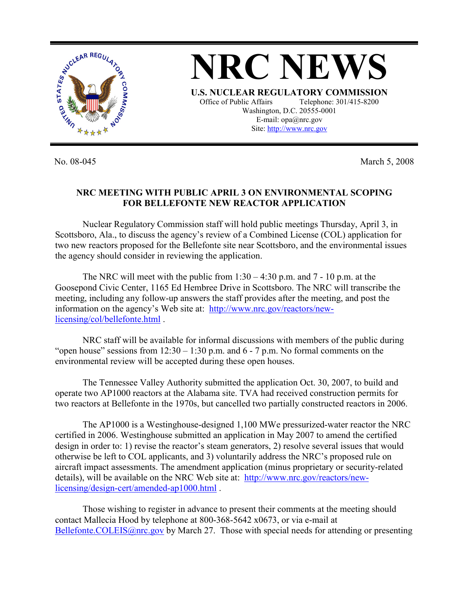

No. 08-045 March 5, 2008

## **NRC MEETING WITH PUBLIC APRIL 3 ON ENVIRONMENTAL SCOPING FOR BELLEFONTE NEW REACTOR APPLICATION**

 Nuclear Regulatory Commission staff will hold public meetings Thursday, April 3, in Scottsboro, Ala., to discuss the agency's review of a Combined License (COL) application for two new reactors proposed for the Bellefonte site near Scottsboro, and the environmental issues the agency should consider in reviewing the application.

The NRC will meet with the public from  $1:30 - 4:30$  p.m. and  $7 - 10$  p.m. at the Goosepond Civic Center, 1165 Ed Hembree Drive in Scottsboro. The NRC will transcribe the meeting, including any follow-up answers the staff provides after the meeting, and post the information on the agency's Web site at: http://www.nrc.gov/reactors/newlicensing/col/bellefonte.html .

NRC staff will be available for informal discussions with members of the public during "open house" sessions from  $12:30 - 1:30$  p.m. and 6 - 7 p.m. No formal comments on the environmental review will be accepted during these open houses.

The Tennessee Valley Authority submitted the application Oct. 30, 2007, to build and operate two AP1000 reactors at the Alabama site. TVA had received construction permits for two reactors at Bellefonte in the 1970s, but cancelled two partially constructed reactors in 2006.

The AP1000 is a Westinghouse-designed 1,100 MWe pressurized-water reactor the NRC certified in 2006. Westinghouse submitted an application in May 2007 to amend the certified design in order to: 1) revise the reactor's steam generators, 2) resolve several issues that would otherwise be left to COL applicants, and 3) voluntarily address the NRC's proposed rule on aircraft impact assessments. The amendment application (minus proprietary or security-related details), will be available on the NRC Web site at: http://www.nrc.gov/reactors/newlicensing/design-cert/amended-ap1000.html .

 Those wishing to register in advance to present their comments at the meeting should contact Mallecia Hood by telephone at 800-368-5642 x0673, or via e-mail at Bellefonte.COLEIS@nrc.gov by March 27. Those with special needs for attending or presenting